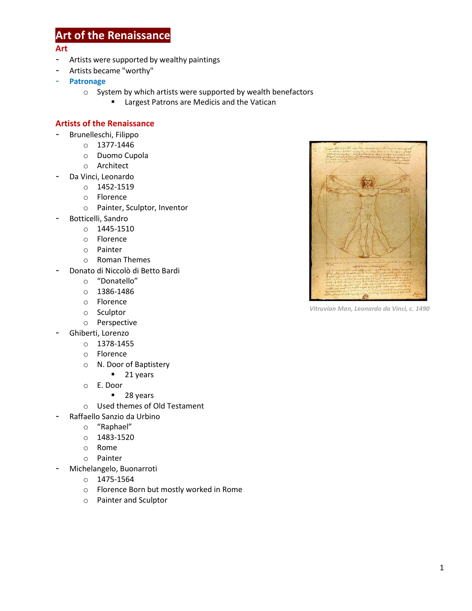## **Art of the Renaissance**

## **Art**

- Artists were supported by wealthy paintings
- Artists became "worthy"
- **Patronage**
	- o System by which artists were supported by wealth benefactors
		- **E** Largest Patrons are Medicis and the Vatican

## **Artists of the Renaissance**

- Brunelleschi, Filippo
	- o 1377-1446
	- o Duomo Cupola
	- o Architect
- Da Vinci, Leonardo
	- o 1452-1519
	- o Florence
	- o Painter, Sculptor, Inventor
- Botticelli, Sandro
	- o 1445-1510
	- o Florence
	- o Painter
	- o Roman Themes
- Donato di Niccolò di Betto Bardi
	- o "Donatello"
	- o 1386-1486
	- o Florence
	- o Sculptor
	- o Perspective
- Ghiberti, Lorenzo
	- o 1378-1455
	- o Florence
	- o N. Door of Baptistery
		- **21 years**
	- o E. Door
		- 28 years
	- o Used themes of Old Testament
	- Raffaello Sanzio da Urbino
		- o "Raphael"
		- o 1483-1520
		- o Rome
		- o Painter
- Michelangelo, Buonarroti
	- o 1475-1564
	- o Florence Born but mostly worked in Rome
	- o Painter and Sculptor



*Vitruvian Man, Leonardo da Vinci, c. 1490*